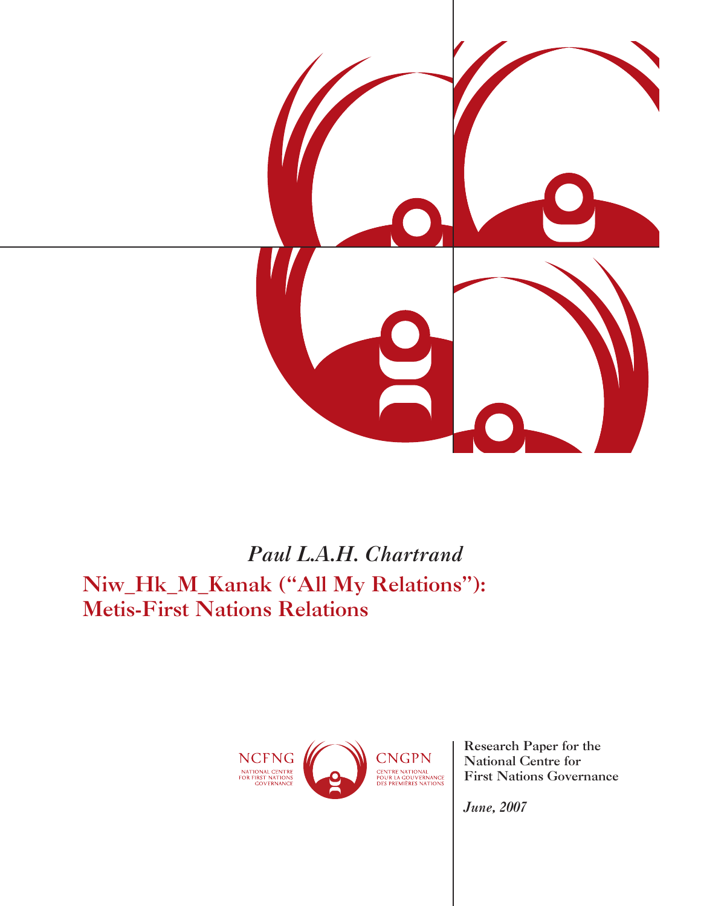

# *Paul L.A.H. Chartrand* Niw\_Hk\_M\_Kanak ("All My Relations"): Metis-First Nations Relations



Research Paper for the National Centre for First Nations Governance

*June, 2007*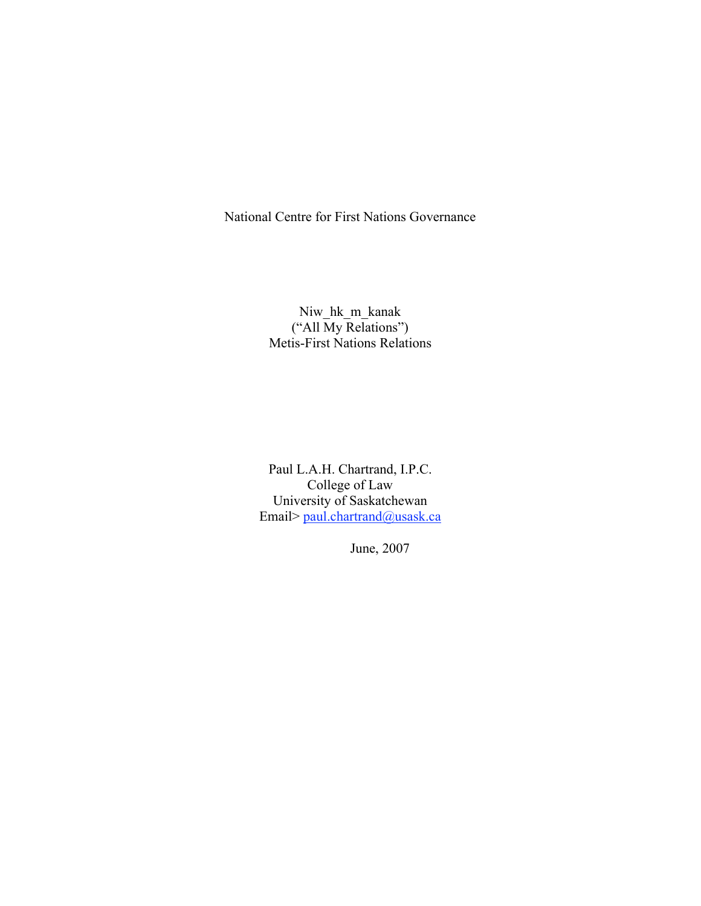National Centre for First Nations Governance

# Niw\_hk\_m\_kanak ("All My Relations") Metis-First Nations Relations

Paul L.A.H. Chartrand, I.P.C. College of Law University of Saskatchewan Email> paul.chartrand@usask.ca

June, 2007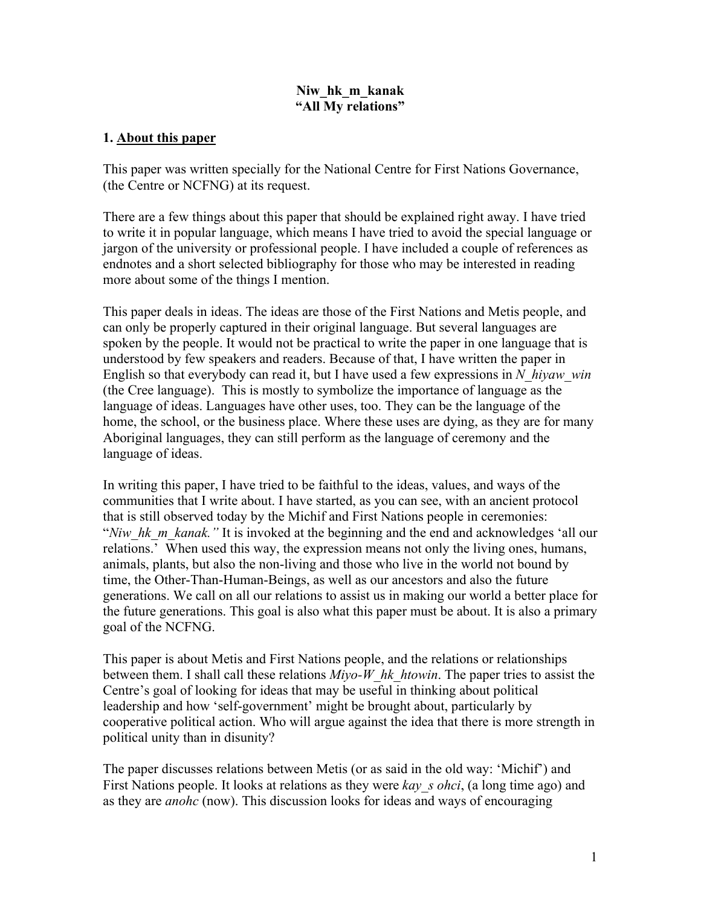### **Niw\_hk\_m\_kanak "All My relations"**

#### **1. About this paper**

This paper was written specially for the National Centre for First Nations Governance, (the Centre or NCFNG) at its request.

There are a few things about this paper that should be explained right away. I have tried to write it in popular language, which means I have tried to avoid the special language or jargon of the university or professional people. I have included a couple of references as endnotes and a short selected bibliography for those who may be interested in reading more about some of the things I mention.

This paper deals in ideas. The ideas are those of the First Nations and Metis people, and can only be properly captured in their original language. But several languages are spoken by the people. It would not be practical to write the paper in one language that is understood by few speakers and readers. Because of that, I have written the paper in English so that everybody can read it, but I have used a few expressions in *N\_hiyaw\_win* (the Cree language). This is mostly to symbolize the importance of language as the language of ideas. Languages have other uses, too. They can be the language of the home, the school, or the business place. Where these uses are dying, as they are for many Aboriginal languages, they can still perform as the language of ceremony and the language of ideas.

In writing this paper, I have tried to be faithful to the ideas, values, and ways of the communities that I write about. I have started, as you can see, with an ancient protocol that is still observed today by the Michif and First Nations people in ceremonies: "*Niw\_hk\_m\_kanak.*" It is invoked at the beginning and the end and acknowledges 'all our relations.' When used this way, the expression means not only the living ones, humans, animals, plants, but also the non-living and those who live in the world not bound by time, the Other-Than-Human-Beings, as well as our ancestors and also the future generations. We call on all our relations to assist us in making our world a better place for the future generations. This goal is also what this paper must be about. It is also a primary goal of the NCFNG.

This paper is about Metis and First Nations people, and the relations or relationships between them. I shall call these relations *Miyo-W\_hk\_htowin*. The paper tries to assist the Centre's goal of looking for ideas that may be useful in thinking about political leadership and how 'self-government' might be brought about, particularly by cooperative political action. Who will argue against the idea that there is more strength in political unity than in disunity?

The paper discusses relations between Metis (or as said in the old way: 'Michif') and First Nations people. It looks at relations as they were *kay s ohci*, (a long time ago) and as they are *anohc* (now). This discussion looks for ideas and ways of encouraging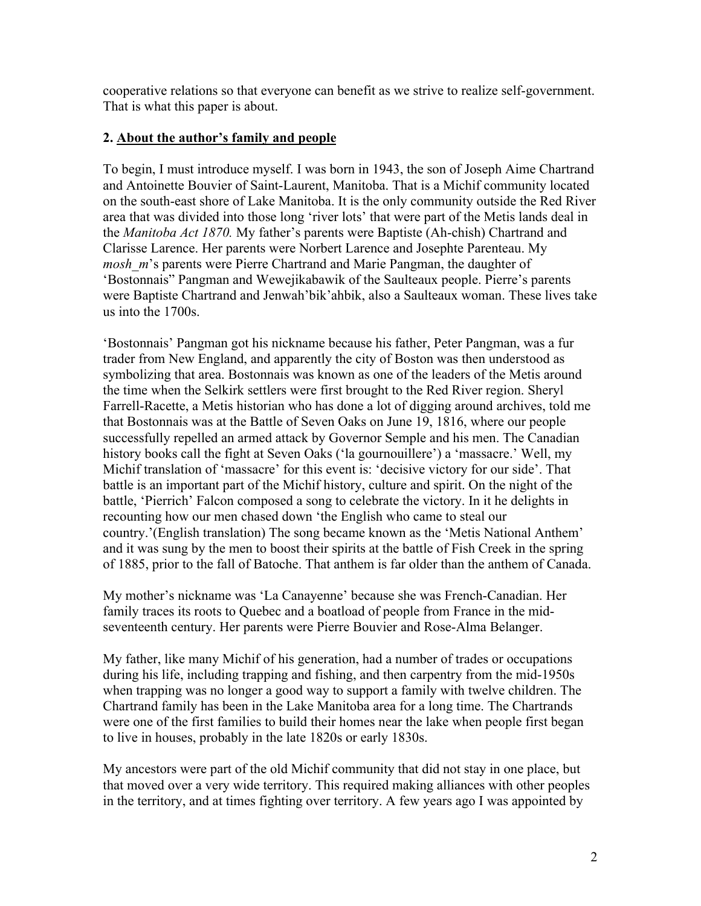cooperative relations so that everyone can benefit as we strive to realize self-government. That is what this paper is about.

### **2. About the author's family and people**

To begin, I must introduce myself. I was born in 1943, the son of Joseph Aime Chartrand and Antoinette Bouvier of Saint-Laurent, Manitoba. That is a Michif community located on the south-east shore of Lake Manitoba. It is the only community outside the Red River area that was divided into those long 'river lots' that were part of the Metis lands deal in the *Manitoba Act 1870.* My father's parents were Baptiste (Ah-chish) Chartrand and Clarisse Larence. Her parents were Norbert Larence and Josephte Parenteau. My *mosh m*'s parents were Pierre Chartrand and Marie Pangman, the daughter of 'Bostonnais" Pangman and Wewejikabawik of the Saulteaux people. Pierre's parents were Baptiste Chartrand and Jenwah'bik'ahbik, also a Saulteaux woman. These lives take us into the 1700s.

'Bostonnais' Pangman got his nickname because his father, Peter Pangman, was a fur trader from New England, and apparently the city of Boston was then understood as symbolizing that area. Bostonnais was known as one of the leaders of the Metis around the time when the Selkirk settlers were first brought to the Red River region. Sheryl Farrell-Racette, a Metis historian who has done a lot of digging around archives, told me that Bostonnais was at the Battle of Seven Oaks on June 19, 1816, where our people successfully repelled an armed attack by Governor Semple and his men. The Canadian history books call the fight at Seven Oaks ('la gournouillere') a 'massacre.' Well, my Michif translation of 'massacre' for this event is: 'decisive victory for our side'. That battle is an important part of the Michif history, culture and spirit. On the night of the battle, 'Pierrich' Falcon composed a song to celebrate the victory. In it he delights in recounting how our men chased down 'the English who came to steal our country.'(English translation) The song became known as the 'Metis National Anthem' and it was sung by the men to boost their spirits at the battle of Fish Creek in the spring of 1885, prior to the fall of Batoche. That anthem is far older than the anthem of Canada.

My mother's nickname was 'La Canayenne' because she was French-Canadian. Her family traces its roots to Quebec and a boatload of people from France in the midseventeenth century. Her parents were Pierre Bouvier and Rose-Alma Belanger.

My father, like many Michif of his generation, had a number of trades or occupations during his life, including trapping and fishing, and then carpentry from the mid-1950s when trapping was no longer a good way to support a family with twelve children. The Chartrand family has been in the Lake Manitoba area for a long time. The Chartrands were one of the first families to build their homes near the lake when people first began to live in houses, probably in the late 1820s or early 1830s.

My ancestors were part of the old Michif community that did not stay in one place, but that moved over a very wide territory. This required making alliances with other peoples in the territory, and at times fighting over territory. A few years ago I was appointed by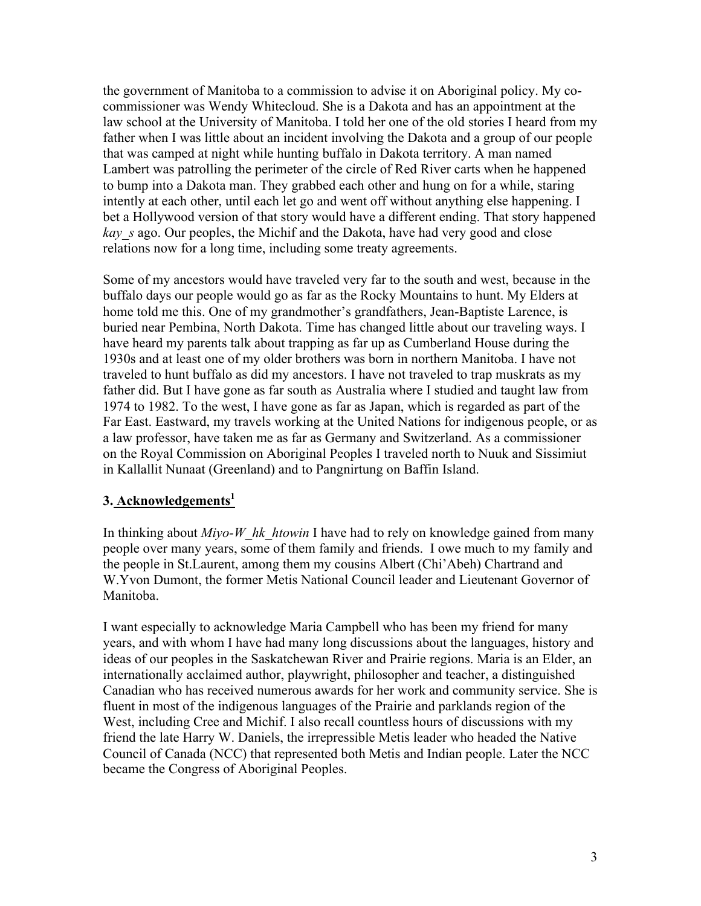the government of Manitoba to a commission to advise it on Aboriginal policy. My cocommissioner was Wendy Whitecloud. She is a Dakota and has an appointment at the law school at the University of Manitoba. I told her one of the old stories I heard from my father when I was little about an incident involving the Dakota and a group of our people that was camped at night while hunting buffalo in Dakota territory. A man named Lambert was patrolling the perimeter of the circle of Red River carts when he happened to bump into a Dakota man. They grabbed each other and hung on for a while, staring intently at each other, until each let go and went off without anything else happening. I bet a Hollywood version of that story would have a different ending. That story happened *kay\_s* ago. Our peoples, the Michif and the Dakota, have had very good and close relations now for a long time, including some treaty agreements.

Some of my ancestors would have traveled very far to the south and west, because in the buffalo days our people would go as far as the Rocky Mountains to hunt. My Elders at home told me this. One of my grandmother's grandfathers, Jean-Baptiste Larence, is buried near Pembina, North Dakota. Time has changed little about our traveling ways. I have heard my parents talk about trapping as far up as Cumberland House during the 1930s and at least one of my older brothers was born in northern Manitoba. I have not traveled to hunt buffalo as did my ancestors. I have not traveled to trap muskrats as my father did. But I have gone as far south as Australia where I studied and taught law from 1974 to 1982. To the west, I have gone as far as Japan, which is regarded as part of the Far East. Eastward, my travels working at the United Nations for indigenous people, or as a law professor, have taken me as far as Germany and Switzerland. As a commissioner on the Royal Commission on Aboriginal Peoples I traveled north to Nuuk and Sissimiut in Kallallit Nunaat (Greenland) and to Pangnirtung on Baffin Island.

# **3. Acknowledgements1**

In thinking about *Miyo-W\_hk\_htowin* I have had to rely on knowledge gained from many people over many years, some of them family and friends. I owe much to my family and the people in St.Laurent, among them my cousins Albert (Chi'Abeh) Chartrand and W.Yvon Dumont, the former Metis National Council leader and Lieutenant Governor of Manitoba.

I want especially to acknowledge Maria Campbell who has been my friend for many years, and with whom I have had many long discussions about the languages, history and ideas of our peoples in the Saskatchewan River and Prairie regions. Maria is an Elder, an internationally acclaimed author, playwright, philosopher and teacher, a distinguished Canadian who has received numerous awards for her work and community service. She is fluent in most of the indigenous languages of the Prairie and parklands region of the West, including Cree and Michif. I also recall countless hours of discussions with my friend the late Harry W. Daniels, the irrepressible Metis leader who headed the Native Council of Canada (NCC) that represented both Metis and Indian people. Later the NCC became the Congress of Aboriginal Peoples.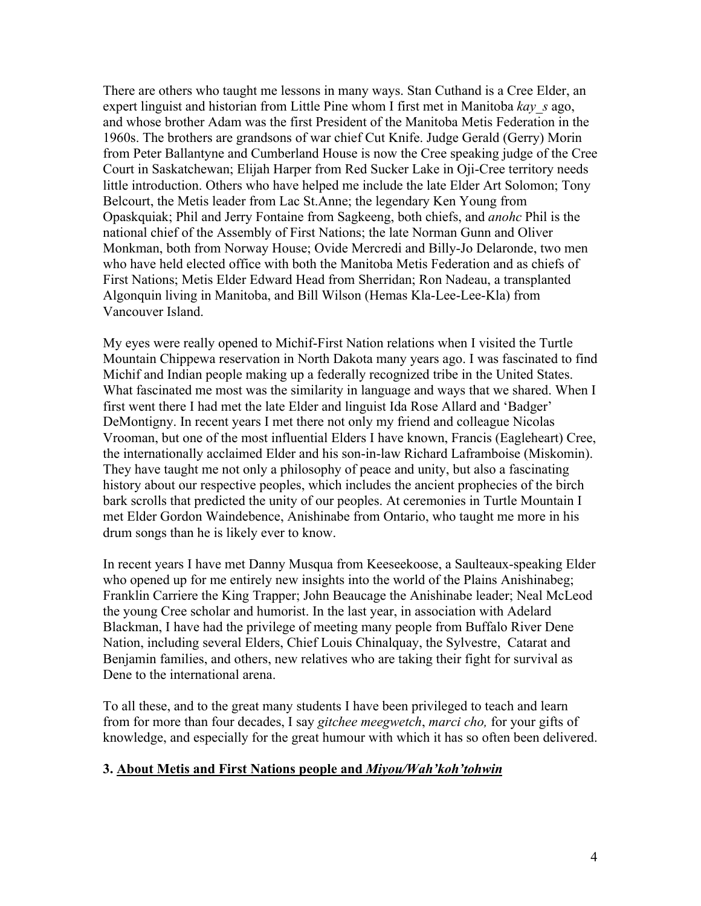There are others who taught me lessons in many ways. Stan Cuthand is a Cree Elder, an expert linguist and historian from Little Pine whom I first met in Manitoba *kay\_s* ago, and whose brother Adam was the first President of the Manitoba Metis Federation in the 1960s. The brothers are grandsons of war chief Cut Knife. Judge Gerald (Gerry) Morin from Peter Ballantyne and Cumberland House is now the Cree speaking judge of the Cree Court in Saskatchewan; Elijah Harper from Red Sucker Lake in Oji-Cree territory needs little introduction. Others who have helped me include the late Elder Art Solomon; Tony Belcourt, the Metis leader from Lac St.Anne; the legendary Ken Young from Opaskquiak; Phil and Jerry Fontaine from Sagkeeng, both chiefs, and *anohc* Phil is the national chief of the Assembly of First Nations; the late Norman Gunn and Oliver Monkman, both from Norway House; Ovide Mercredi and Billy-Jo Delaronde, two men who have held elected office with both the Manitoba Metis Federation and as chiefs of First Nations; Metis Elder Edward Head from Sherridan; Ron Nadeau, a transplanted Algonquin living in Manitoba, and Bill Wilson (Hemas Kla-Lee-Lee-Kla) from Vancouver Island.

My eyes were really opened to Michif-First Nation relations when I visited the Turtle Mountain Chippewa reservation in North Dakota many years ago. I was fascinated to find Michif and Indian people making up a federally recognized tribe in the United States. What fascinated me most was the similarity in language and ways that we shared. When I first went there I had met the late Elder and linguist Ida Rose Allard and 'Badger' DeMontigny. In recent years I met there not only my friend and colleague Nicolas Vrooman, but one of the most influential Elders I have known, Francis (Eagleheart) Cree, the internationally acclaimed Elder and his son-in-law Richard Laframboise (Miskomin). They have taught me not only a philosophy of peace and unity, but also a fascinating history about our respective peoples, which includes the ancient prophecies of the birch bark scrolls that predicted the unity of our peoples. At ceremonies in Turtle Mountain I met Elder Gordon Waindebence, Anishinabe from Ontario, who taught me more in his drum songs than he is likely ever to know.

In recent years I have met Danny Musqua from Keeseekoose, a Saulteaux-speaking Elder who opened up for me entirely new insights into the world of the Plains Anishinabeg; Franklin Carriere the King Trapper; John Beaucage the Anishinabe leader; Neal McLeod the young Cree scholar and humorist. In the last year, in association with Adelard Blackman, I have had the privilege of meeting many people from Buffalo River Dene Nation, including several Elders, Chief Louis Chinalquay, the Sylvestre, Catarat and Benjamin families, and others, new relatives who are taking their fight for survival as Dene to the international arena.

To all these, and to the great many students I have been privileged to teach and learn from for more than four decades, I say *gitchee meegwetch*, *marci cho,* for your gifts of knowledge, and especially for the great humour with which it has so often been delivered.

# **3. About Metis and First Nations people and** *Miyou/Wah'koh'tohwin*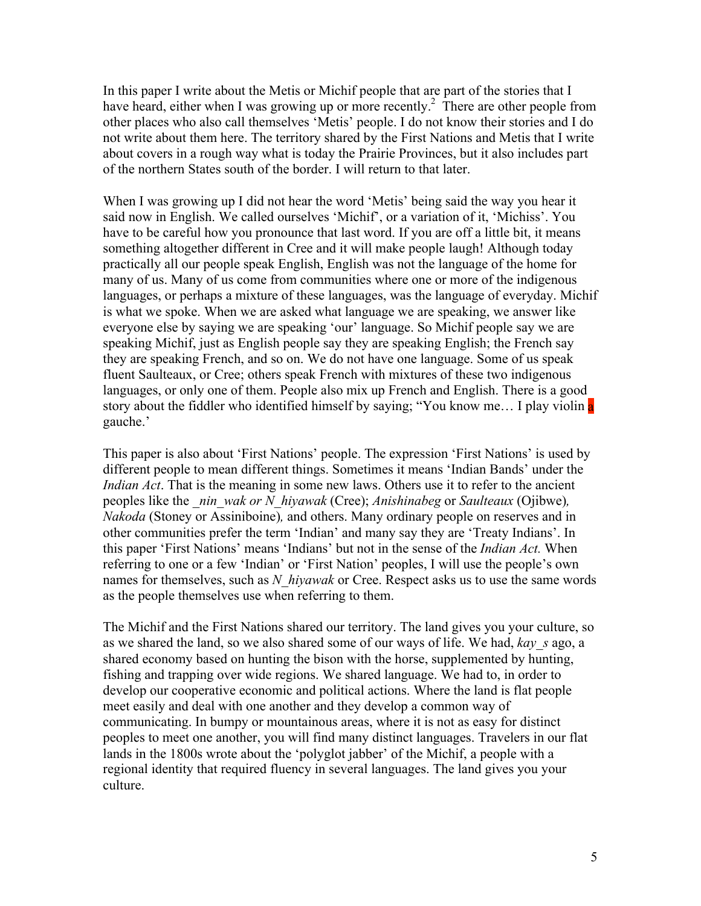In this paper I write about the Metis or Michif people that are part of the stories that I have heard, either when I was growing up or more recently.<sup>2</sup> There are other people from other places who also call themselves 'Metis' people. I do not know their stories and I do not write about them here. The territory shared by the First Nations and Metis that I write about covers in a rough way what is today the Prairie Provinces, but it also includes part of the northern States south of the border. I will return to that later.

When I was growing up I did not hear the word 'Metis' being said the way you hear it said now in English. We called ourselves 'Michif', or a variation of it, 'Michiss'. You have to be careful how you pronounce that last word. If you are off a little bit, it means something altogether different in Cree and it will make people laugh! Although today practically all our people speak English, English was not the language of the home for many of us. Many of us come from communities where one or more of the indigenous languages, or perhaps a mixture of these languages, was the language of everyday. Michif is what we spoke. When we are asked what language we are speaking, we answer like everyone else by saying we are speaking 'our' language. So Michif people say we are speaking Michif, just as English people say they are speaking English; the French say they are speaking French, and so on. We do not have one language. Some of us speak fluent Saulteaux, or Cree; others speak French with mixtures of these two indigenous languages, or only one of them. People also mix up French and English. There is a good story about the fiddler who identified himself by saying; "You know me... I play violin a gauche.'

This paper is also about 'First Nations' people. The expression 'First Nations' is used by different people to mean different things. Sometimes it means 'Indian Bands' under the *Indian Act*. That is the meaning in some new laws. Others use it to refer to the ancient peoples like the *\_nin\_wak or N\_hiyawak* (Cree); *Anishinabeg* or *Saulteaux* (Ojibwe)*, Nakoda* (Stoney or Assiniboine)*,* and others. Many ordinary people on reserves and in other communities prefer the term 'Indian' and many say they are 'Treaty Indians'. In this paper 'First Nations' means 'Indians' but not in the sense of the *Indian Act.* When referring to one or a few 'Indian' or 'First Nation' peoples, I will use the people's own names for themselves, such as *N\_hiyawak* or Cree. Respect asks us to use the same words as the people themselves use when referring to them.

The Michif and the First Nations shared our territory. The land gives you your culture, so as we shared the land, so we also shared some of our ways of life. We had, *kay\_s* ago, a shared economy based on hunting the bison with the horse, supplemented by hunting, fishing and trapping over wide regions. We shared language. We had to, in order to develop our cooperative economic and political actions. Where the land is flat people meet easily and deal with one another and they develop a common way of communicating. In bumpy or mountainous areas, where it is not as easy for distinct peoples to meet one another, you will find many distinct languages. Travelers in our flat lands in the 1800s wrote about the 'polyglot jabber' of the Michif, a people with a regional identity that required fluency in several languages. The land gives you your culture.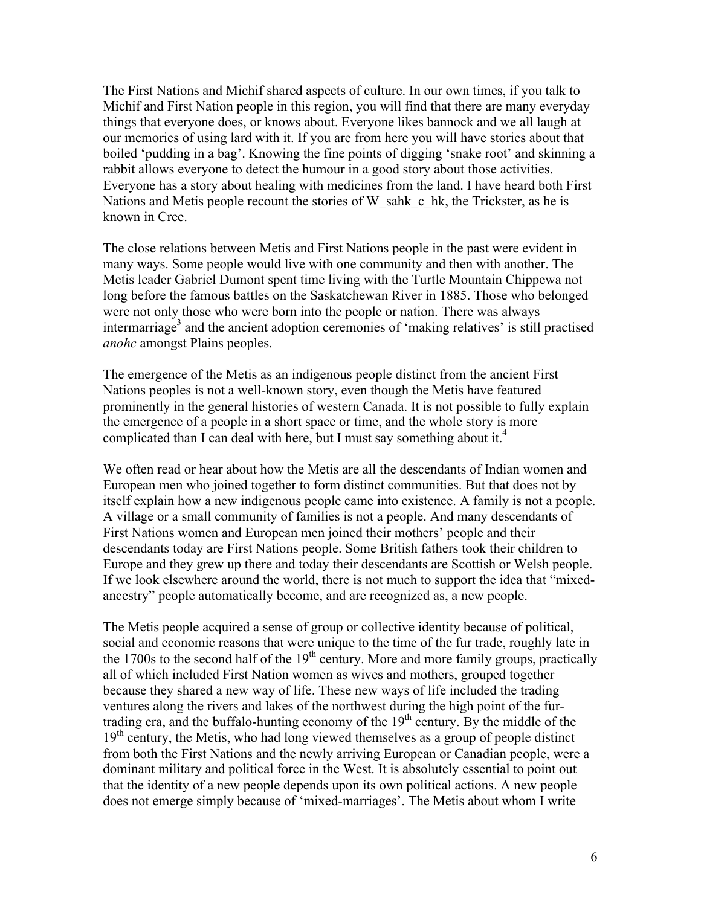The First Nations and Michif shared aspects of culture. In our own times, if you talk to Michif and First Nation people in this region, you will find that there are many everyday things that everyone does, or knows about. Everyone likes bannock and we all laugh at our memories of using lard with it. If you are from here you will have stories about that boiled 'pudding in a bag'. Knowing the fine points of digging 'snake root' and skinning a rabbit allows everyone to detect the humour in a good story about those activities. Everyone has a story about healing with medicines from the land. I have heard both First Nations and Metis people recount the stories of W\_sahk\_c\_hk, the Trickster, as he is known in Cree.

The close relations between Metis and First Nations people in the past were evident in many ways. Some people would live with one community and then with another. The Metis leader Gabriel Dumont spent time living with the Turtle Mountain Chippewa not long before the famous battles on the Saskatchewan River in 1885. Those who belonged were not only those who were born into the people or nation. There was always intermarriage<sup>3</sup> and the ancient adoption ceremonies of 'making relatives' is still practised *anohc* amongst Plains peoples.

The emergence of the Metis as an indigenous people distinct from the ancient First Nations peoples is not a well-known story, even though the Metis have featured prominently in the general histories of western Canada. It is not possible to fully explain the emergence of a people in a short space or time, and the whole story is more complicated than I can deal with here, but I must say something about it.<sup>4</sup>

We often read or hear about how the Metis are all the descendants of Indian women and European men who joined together to form distinct communities. But that does not by itself explain how a new indigenous people came into existence. A family is not a people. A village or a small community of families is not a people. And many descendants of First Nations women and European men joined their mothers' people and their descendants today are First Nations people. Some British fathers took their children to Europe and they grew up there and today their descendants are Scottish or Welsh people. If we look elsewhere around the world, there is not much to support the idea that "mixedancestry" people automatically become, and are recognized as, a new people.

The Metis people acquired a sense of group or collective identity because of political, social and economic reasons that were unique to the time of the fur trade, roughly late in the 1700s to the second half of the  $19<sup>th</sup>$  century. More and more family groups, practically all of which included First Nation women as wives and mothers, grouped together because they shared a new way of life. These new ways of life included the trading ventures along the rivers and lakes of the northwest during the high point of the furtrading era, and the buffalo-hunting economy of the  $19<sup>th</sup>$  century. By the middle of the  $19<sup>th</sup>$  century, the Metis, who had long viewed themselves as a group of people distinct from both the First Nations and the newly arriving European or Canadian people, were a dominant military and political force in the West. It is absolutely essential to point out that the identity of a new people depends upon its own political actions. A new people does not emerge simply because of 'mixed-marriages'. The Metis about whom I write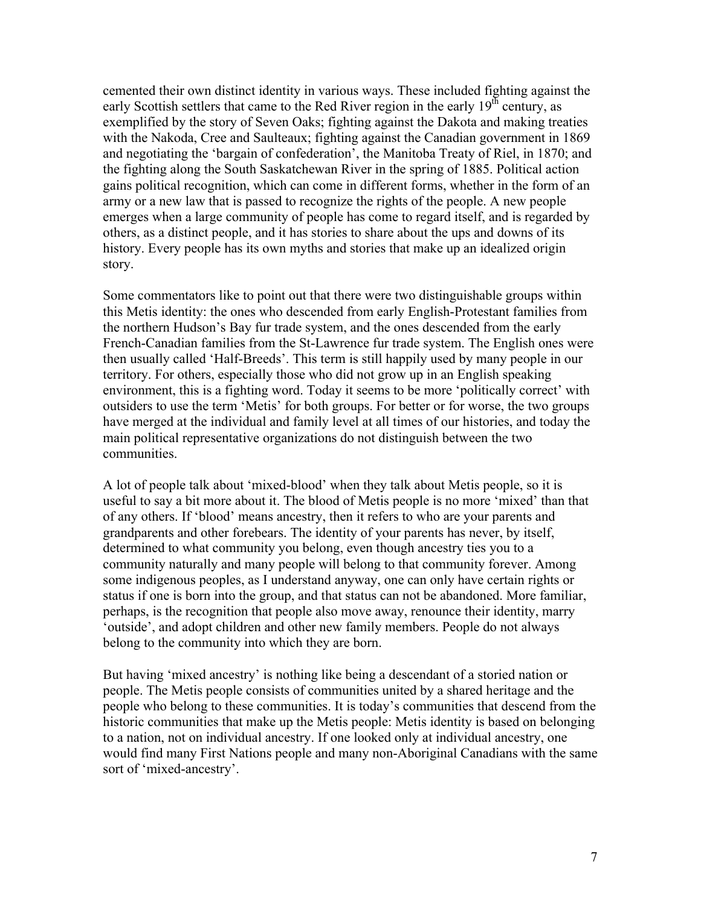cemented their own distinct identity in various ways. These included fighting against the early Scottish settlers that came to the Red River region in the early  $19<sup>th</sup>$  century, as exemplified by the story of Seven Oaks; fighting against the Dakota and making treaties with the Nakoda, Cree and Saulteaux; fighting against the Canadian government in 1869 and negotiating the 'bargain of confederation', the Manitoba Treaty of Riel, in 1870; and the fighting along the South Saskatchewan River in the spring of 1885. Political action gains political recognition, which can come in different forms, whether in the form of an army or a new law that is passed to recognize the rights of the people. A new people emerges when a large community of people has come to regard itself, and is regarded by others, as a distinct people, and it has stories to share about the ups and downs of its history. Every people has its own myths and stories that make up an idealized origin story.

Some commentators like to point out that there were two distinguishable groups within this Metis identity: the ones who descended from early English-Protestant families from the northern Hudson's Bay fur trade system, and the ones descended from the early French-Canadian families from the St-Lawrence fur trade system. The English ones were then usually called 'Half-Breeds'. This term is still happily used by many people in our territory. For others, especially those who did not grow up in an English speaking environment, this is a fighting word. Today it seems to be more 'politically correct' with outsiders to use the term 'Metis' for both groups. For better or for worse, the two groups have merged at the individual and family level at all times of our histories, and today the main political representative organizations do not distinguish between the two communities.

A lot of people talk about 'mixed-blood' when they talk about Metis people, so it is useful to say a bit more about it. The blood of Metis people is no more 'mixed' than that of any others. If 'blood' means ancestry, then it refers to who are your parents and grandparents and other forebears. The identity of your parents has never, by itself, determined to what community you belong, even though ancestry ties you to a community naturally and many people will belong to that community forever. Among some indigenous peoples, as I understand anyway, one can only have certain rights or status if one is born into the group, and that status can not be abandoned. More familiar, perhaps, is the recognition that people also move away, renounce their identity, marry 'outside', and adopt children and other new family members. People do not always belong to the community into which they are born.

But having 'mixed ancestry' is nothing like being a descendant of a storied nation or people. The Metis people consists of communities united by a shared heritage and the people who belong to these communities. It is today's communities that descend from the historic communities that make up the Metis people: Metis identity is based on belonging to a nation, not on individual ancestry. If one looked only at individual ancestry, one would find many First Nations people and many non-Aboriginal Canadians with the same sort of 'mixed-ancestry'.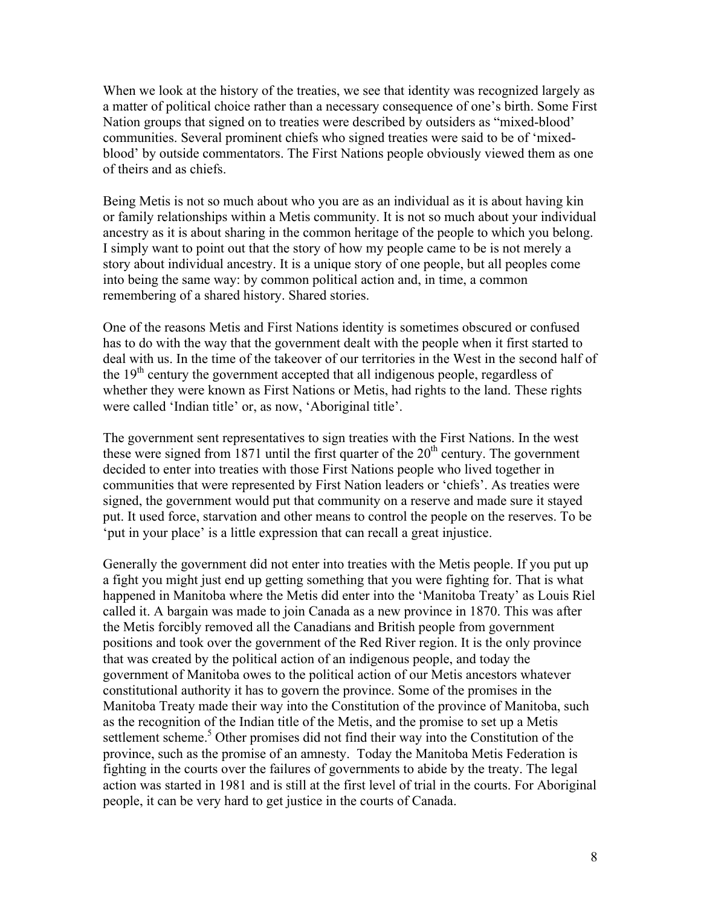When we look at the history of the treaties, we see that identity was recognized largely as a matter of political choice rather than a necessary consequence of one's birth. Some First Nation groups that signed on to treaties were described by outsiders as "mixed-blood' communities. Several prominent chiefs who signed treaties were said to be of 'mixedblood' by outside commentators. The First Nations people obviously viewed them as one of theirs and as chiefs.

Being Metis is not so much about who you are as an individual as it is about having kin or family relationships within a Metis community. It is not so much about your individual ancestry as it is about sharing in the common heritage of the people to which you belong. I simply want to point out that the story of how my people came to be is not merely a story about individual ancestry. It is a unique story of one people, but all peoples come into being the same way: by common political action and, in time, a common remembering of a shared history. Shared stories.

One of the reasons Metis and First Nations identity is sometimes obscured or confused has to do with the way that the government dealt with the people when it first started to deal with us. In the time of the takeover of our territories in the West in the second half of the  $19<sup>th</sup>$  century the government accepted that all indigenous people, regardless of whether they were known as First Nations or Metis, had rights to the land. These rights were called 'Indian title' or, as now, 'Aboriginal title'.

The government sent representatives to sign treaties with the First Nations. In the west these were signed from 1871 until the first quarter of the  $20<sup>th</sup>$  century. The government decided to enter into treaties with those First Nations people who lived together in communities that were represented by First Nation leaders or 'chiefs'. As treaties were signed, the government would put that community on a reserve and made sure it stayed put. It used force, starvation and other means to control the people on the reserves. To be 'put in your place' is a little expression that can recall a great injustice.

Generally the government did not enter into treaties with the Metis people. If you put up a fight you might just end up getting something that you were fighting for. That is what happened in Manitoba where the Metis did enter into the 'Manitoba Treaty' as Louis Riel called it. A bargain was made to join Canada as a new province in 1870. This was after the Metis forcibly removed all the Canadians and British people from government positions and took over the government of the Red River region. It is the only province that was created by the political action of an indigenous people, and today the government of Manitoba owes to the political action of our Metis ancestors whatever constitutional authority it has to govern the province. Some of the promises in the Manitoba Treaty made their way into the Constitution of the province of Manitoba, such as the recognition of the Indian title of the Metis, and the promise to set up a Metis settlement scheme.<sup>5</sup> Other promises did not find their way into the Constitution of the province, such as the promise of an amnesty. Today the Manitoba Metis Federation is fighting in the courts over the failures of governments to abide by the treaty. The legal action was started in 1981 and is still at the first level of trial in the courts. For Aboriginal people, it can be very hard to get justice in the courts of Canada.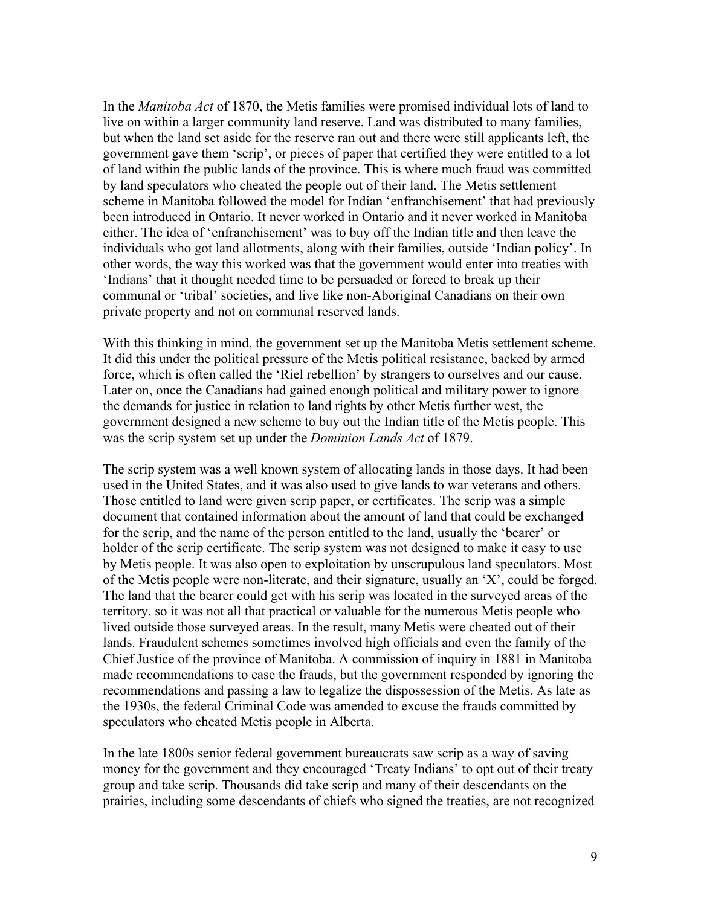In the *Manitoba Act* of 1870, the Metis families were promised individual lots of land to live on within a larger community land reserve. Land was distributed to many families, but when the land set aside for the reserve ran out and there were still applicants left, the government gave them 'scrip', or pieces of paper that certified they were entitled to a lot of land within the public lands of the province. This is where much fraud was committed by land speculators who cheated the people out of their land. The Metis settlement scheme in Manitoba followed the model for Indian 'enfranchisement' that had previously been introduced in Ontario. It never worked in Ontario and it never worked in Manitoba either. The idea of 'enfranchisement' was to buy off the Indian title and then leave the individuals who got land allotments, along with their families, outside 'Indian policy'. In other words, the way this worked was that the government would enter into treaties with 'Indians' that it thought needed time to be persuaded or forced to break up their communal or 'tribal' societies, and live like non-Aboriginal Canadians on their own private property and not on communal reserved lands.

With this thinking in mind, the government set up the Manitoba Metis settlement scheme. It did this under the political pressure of the Metis political resistance, backed by armed force, which is often called the 'Riel rebellion' by strangers to ourselves and our cause. Later on, once the Canadians had gained enough political and military power to ignore the demands for justice in relation to land rights by other Metis further west, the government designed a new scheme to buy out the Indian title of the Metis people. This was the scrip system set up under the *Dominion Lands Act* of 1879.

The scrip system was a well known system of allocating lands in those days. It had been used in the United States, and it was also used to give lands to war veterans and others. Those entitled to land were given scrip paper, or certificates. The scrip was a simple document that contained information about the amount of land that could be exchanged for the scrip, and the name of the person entitled to the land, usually the 'bearer' or holder of the scrip certificate. The scrip system was not designed to make it easy to use by Metis people. It was also open to exploitation by unscrupulous land speculators. Most of the Metis people were non-literate, and their signature, usually an 'X', could be forged. The land that the bearer could get with his scrip was located in the surveyed areas of the territory, so it was not all that practical or valuable for the numerous Metis people who lived outside those surveyed areas. In the result, many Metis were cheated out of their lands. Fraudulent schemes sometimes involved high officials and even the family of the Chief Justice of the province of Manitoba. A commission of inquiry in 1881 in Manitoba made recommendations to ease the frauds, but the government responded by ignoring the recommendations and passing a law to legalize the dispossession of the Metis. As late as the 1930s, the federal Criminal Code was amended to excuse the frauds committed by speculators who cheated Metis people in Alberta.

In the late 1800s senior federal government bureaucrats saw scrip as a way of saving money for the government and they encouraged 'Treaty Indians' to opt out of their treaty group and take scrip. Thousands did take scrip and many of their descendants on the prairies, including some descendants of chiefs who signed the treaties, are not recognized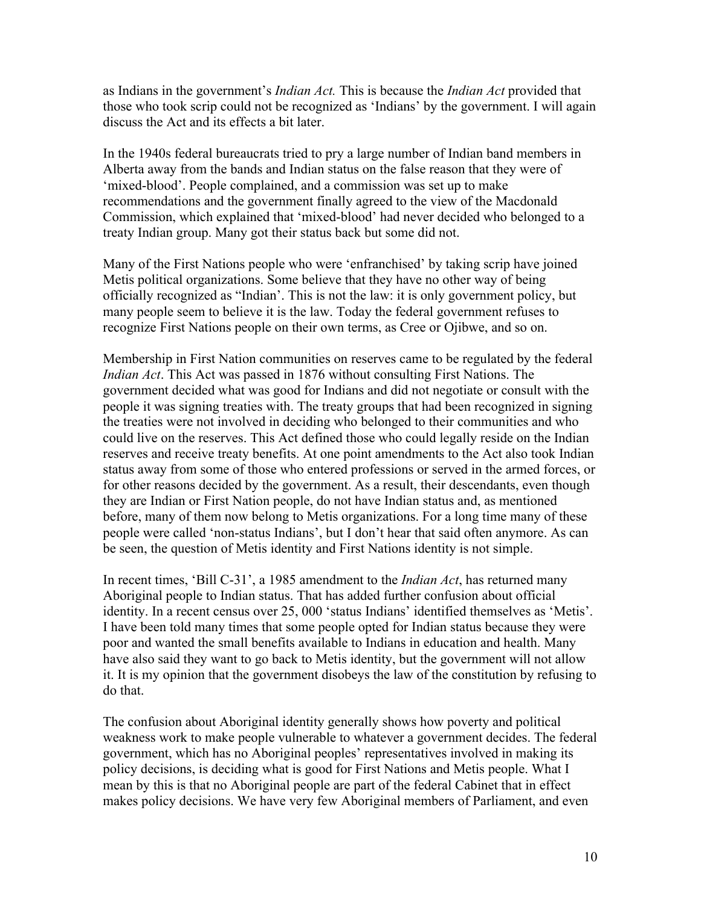as Indians in the government's *Indian Act.* This is because the *Indian Act* provided that those who took scrip could not be recognized as 'Indians' by the government. I will again discuss the Act and its effects a bit later.

In the 1940s federal bureaucrats tried to pry a large number of Indian band members in Alberta away from the bands and Indian status on the false reason that they were of 'mixed-blood'. People complained, and a commission was set up to make recommendations and the government finally agreed to the view of the Macdonald Commission, which explained that 'mixed-blood' had never decided who belonged to a treaty Indian group. Many got their status back but some did not.

Many of the First Nations people who were 'enfranchised' by taking scrip have joined Metis political organizations. Some believe that they have no other way of being officially recognized as "Indian'. This is not the law: it is only government policy, but many people seem to believe it is the law. Today the federal government refuses to recognize First Nations people on their own terms, as Cree or Ojibwe, and so on.

Membership in First Nation communities on reserves came to be regulated by the federal *Indian Act*. This Act was passed in 1876 without consulting First Nations. The government decided what was good for Indians and did not negotiate or consult with the people it was signing treaties with. The treaty groups that had been recognized in signing the treaties were not involved in deciding who belonged to their communities and who could live on the reserves. This Act defined those who could legally reside on the Indian reserves and receive treaty benefits. At one point amendments to the Act also took Indian status away from some of those who entered professions or served in the armed forces, or for other reasons decided by the government. As a result, their descendants, even though they are Indian or First Nation people, do not have Indian status and, as mentioned before, many of them now belong to Metis organizations. For a long time many of these people were called 'non-status Indians', but I don't hear that said often anymore. As can be seen, the question of Metis identity and First Nations identity is not simple.

In recent times, 'Bill C-31', a 1985 amendment to the *Indian Act*, has returned many Aboriginal people to Indian status. That has added further confusion about official identity. In a recent census over 25, 000 'status Indians' identified themselves as 'Metis'. I have been told many times that some people opted for Indian status because they were poor and wanted the small benefits available to Indians in education and health. Many have also said they want to go back to Metis identity, but the government will not allow it. It is my opinion that the government disobeys the law of the constitution by refusing to do that.

The confusion about Aboriginal identity generally shows how poverty and political weakness work to make people vulnerable to whatever a government decides. The federal government, which has no Aboriginal peoples' representatives involved in making its policy decisions, is deciding what is good for First Nations and Metis people. What I mean by this is that no Aboriginal people are part of the federal Cabinet that in effect makes policy decisions. We have very few Aboriginal members of Parliament, and even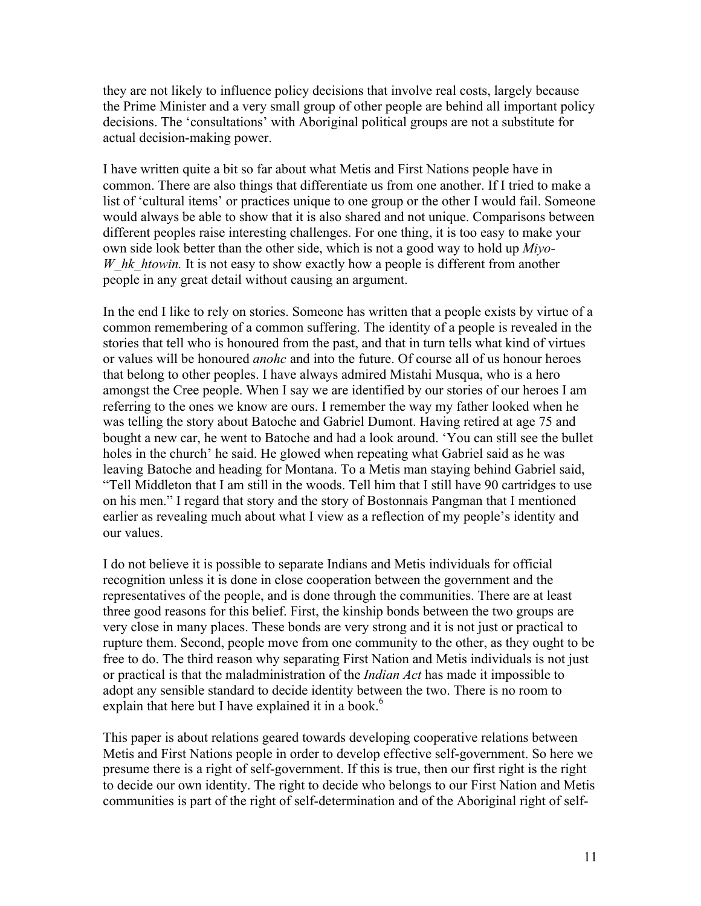they are not likely to influence policy decisions that involve real costs, largely because the Prime Minister and a very small group of other people are behind all important policy decisions. The 'consultations' with Aboriginal political groups are not a substitute for actual decision-making power.

I have written quite a bit so far about what Metis and First Nations people have in common. There are also things that differentiate us from one another. If I tried to make a list of 'cultural items' or practices unique to one group or the other I would fail. Someone would always be able to show that it is also shared and not unique. Comparisons between different peoples raise interesting challenges. For one thing, it is too easy to make your own side look better than the other side, which is not a good way to hold up *Miyo-W\_hk\_htowin.* It is not easy to show exactly how a people is different from another people in any great detail without causing an argument.

In the end I like to rely on stories. Someone has written that a people exists by virtue of a common remembering of a common suffering. The identity of a people is revealed in the stories that tell who is honoured from the past, and that in turn tells what kind of virtues or values will be honoured *anohc* and into the future. Of course all of us honour heroes that belong to other peoples. I have always admired Mistahi Musqua, who is a hero amongst the Cree people. When I say we are identified by our stories of our heroes I am referring to the ones we know are ours. I remember the way my father looked when he was telling the story about Batoche and Gabriel Dumont. Having retired at age 75 and bought a new car, he went to Batoche and had a look around. 'You can still see the bullet holes in the church' he said. He glowed when repeating what Gabriel said as he was leaving Batoche and heading for Montana. To a Metis man staying behind Gabriel said, "Tell Middleton that I am still in the woods. Tell him that I still have 90 cartridges to use on his men." I regard that story and the story of Bostonnais Pangman that I mentioned earlier as revealing much about what I view as a reflection of my people's identity and our values.

I do not believe it is possible to separate Indians and Metis individuals for official recognition unless it is done in close cooperation between the government and the representatives of the people, and is done through the communities. There are at least three good reasons for this belief. First, the kinship bonds between the two groups are very close in many places. These bonds are very strong and it is not just or practical to rupture them. Second, people move from one community to the other, as they ought to be free to do. The third reason why separating First Nation and Metis individuals is not just or practical is that the maladministration of the *Indian Act* has made it impossible to adopt any sensible standard to decide identity between the two. There is no room to explain that here but I have explained it in a book.<sup>6</sup>

This paper is about relations geared towards developing cooperative relations between Metis and First Nations people in order to develop effective self-government. So here we presume there is a right of self-government. If this is true, then our first right is the right to decide our own identity. The right to decide who belongs to our First Nation and Metis communities is part of the right of self-determination and of the Aboriginal right of self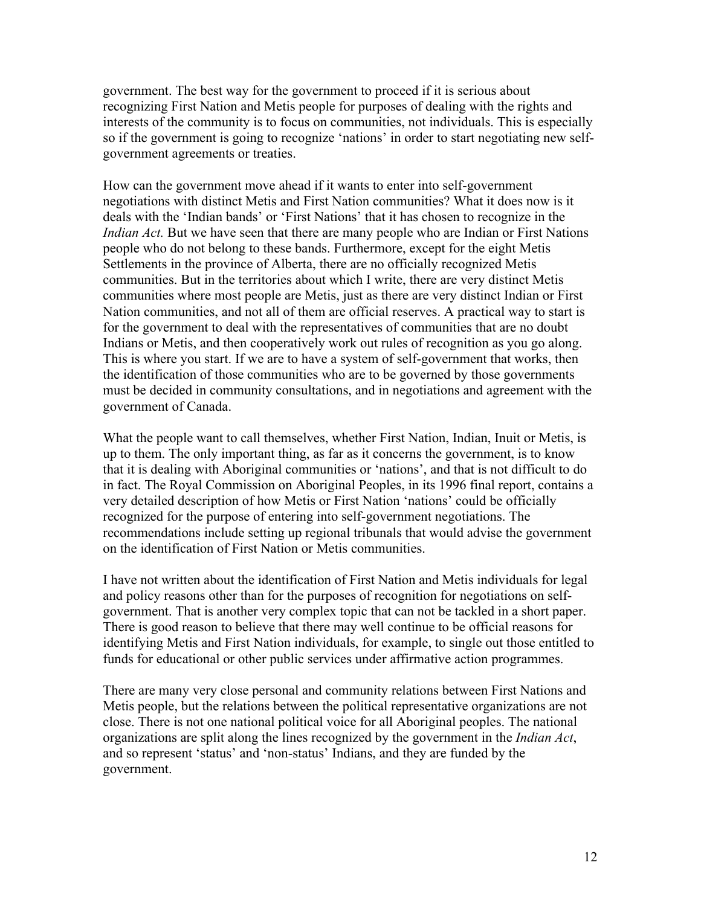government. The best way for the government to proceed if it is serious about recognizing First Nation and Metis people for purposes of dealing with the rights and interests of the community is to focus on communities, not individuals. This is especially so if the government is going to recognize 'nations' in order to start negotiating new selfgovernment agreements or treaties.

How can the government move ahead if it wants to enter into self-government negotiations with distinct Metis and First Nation communities? What it does now is it deals with the 'Indian bands' or 'First Nations' that it has chosen to recognize in the *Indian Act.* But we have seen that there are many people who are Indian or First Nations people who do not belong to these bands. Furthermore, except for the eight Metis Settlements in the province of Alberta, there are no officially recognized Metis communities. But in the territories about which I write, there are very distinct Metis communities where most people are Metis, just as there are very distinct Indian or First Nation communities, and not all of them are official reserves. A practical way to start is for the government to deal with the representatives of communities that are no doubt Indians or Metis, and then cooperatively work out rules of recognition as you go along. This is where you start. If we are to have a system of self-government that works, then the identification of those communities who are to be governed by those governments must be decided in community consultations, and in negotiations and agreement with the government of Canada.

What the people want to call themselves, whether First Nation, Indian, Inuit or Metis, is up to them. The only important thing, as far as it concerns the government, is to know that it is dealing with Aboriginal communities or 'nations', and that is not difficult to do in fact. The Royal Commission on Aboriginal Peoples, in its 1996 final report, contains a very detailed description of how Metis or First Nation 'nations' could be officially recognized for the purpose of entering into self-government negotiations. The recommendations include setting up regional tribunals that would advise the government on the identification of First Nation or Metis communities.

I have not written about the identification of First Nation and Metis individuals for legal and policy reasons other than for the purposes of recognition for negotiations on selfgovernment. That is another very complex topic that can not be tackled in a short paper. There is good reason to believe that there may well continue to be official reasons for identifying Metis and First Nation individuals, for example, to single out those entitled to funds for educational or other public services under affirmative action programmes.

There are many very close personal and community relations between First Nations and Metis people, but the relations between the political representative organizations are not close. There is not one national political voice for all Aboriginal peoples. The national organizations are split along the lines recognized by the government in the *Indian Act*, and so represent 'status' and 'non-status' Indians, and they are funded by the government.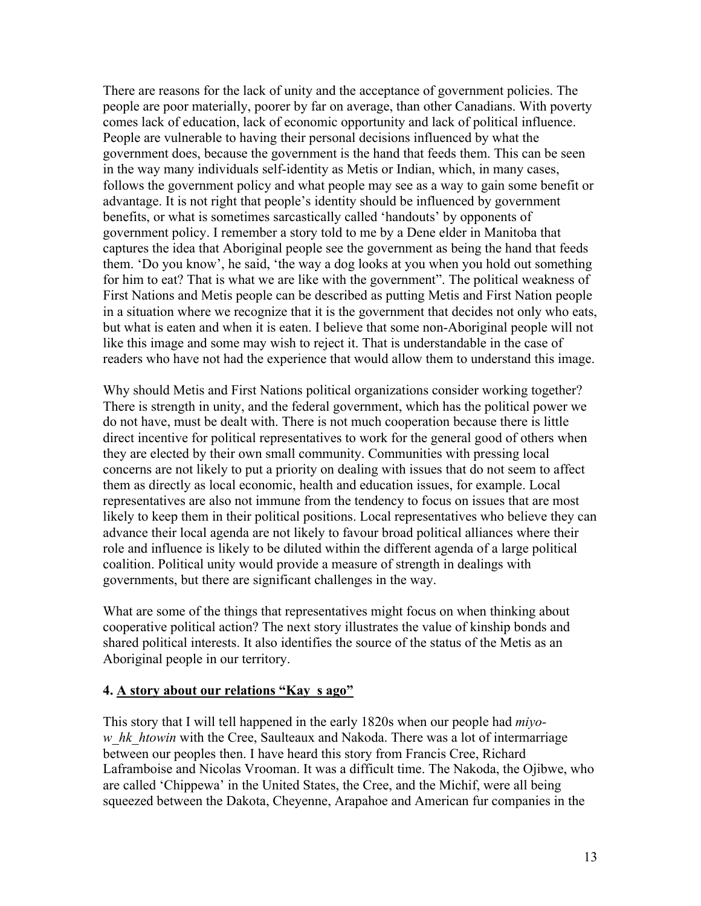There are reasons for the lack of unity and the acceptance of government policies. The people are poor materially, poorer by far on average, than other Canadians. With poverty comes lack of education, lack of economic opportunity and lack of political influence. People are vulnerable to having their personal decisions influenced by what the government does, because the government is the hand that feeds them. This can be seen in the way many individuals self-identity as Metis or Indian, which, in many cases, follows the government policy and what people may see as a way to gain some benefit or advantage. It is not right that people's identity should be influenced by government benefits, or what is sometimes sarcastically called 'handouts' by opponents of government policy. I remember a story told to me by a Dene elder in Manitoba that captures the idea that Aboriginal people see the government as being the hand that feeds them. 'Do you know', he said, 'the way a dog looks at you when you hold out something for him to eat? That is what we are like with the government". The political weakness of First Nations and Metis people can be described as putting Metis and First Nation people in a situation where we recognize that it is the government that decides not only who eats, but what is eaten and when it is eaten. I believe that some non-Aboriginal people will not like this image and some may wish to reject it. That is understandable in the case of readers who have not had the experience that would allow them to understand this image.

Why should Metis and First Nations political organizations consider working together? There is strength in unity, and the federal government, which has the political power we do not have, must be dealt with. There is not much cooperation because there is little direct incentive for political representatives to work for the general good of others when they are elected by their own small community. Communities with pressing local concerns are not likely to put a priority on dealing with issues that do not seem to affect them as directly as local economic, health and education issues, for example. Local representatives are also not immune from the tendency to focus on issues that are most likely to keep them in their political positions. Local representatives who believe they can advance their local agenda are not likely to favour broad political alliances where their role and influence is likely to be diluted within the different agenda of a large political coalition. Political unity would provide a measure of strength in dealings with governments, but there are significant challenges in the way.

What are some of the things that representatives might focus on when thinking about cooperative political action? The next story illustrates the value of kinship bonds and shared political interests. It also identifies the source of the status of the Metis as an Aboriginal people in our territory.

#### **4. A story about our relations "Kay\_s ago"**

This story that I will tell happened in the early 1820s when our people had *miyow\_hk\_htowin* with the Cree, Saulteaux and Nakoda. There was a lot of intermarriage between our peoples then. I have heard this story from Francis Cree, Richard Laframboise and Nicolas Vrooman. It was a difficult time. The Nakoda, the Ojibwe, who are called 'Chippewa' in the United States, the Cree, and the Michif, were all being squeezed between the Dakota, Cheyenne, Arapahoe and American fur companies in the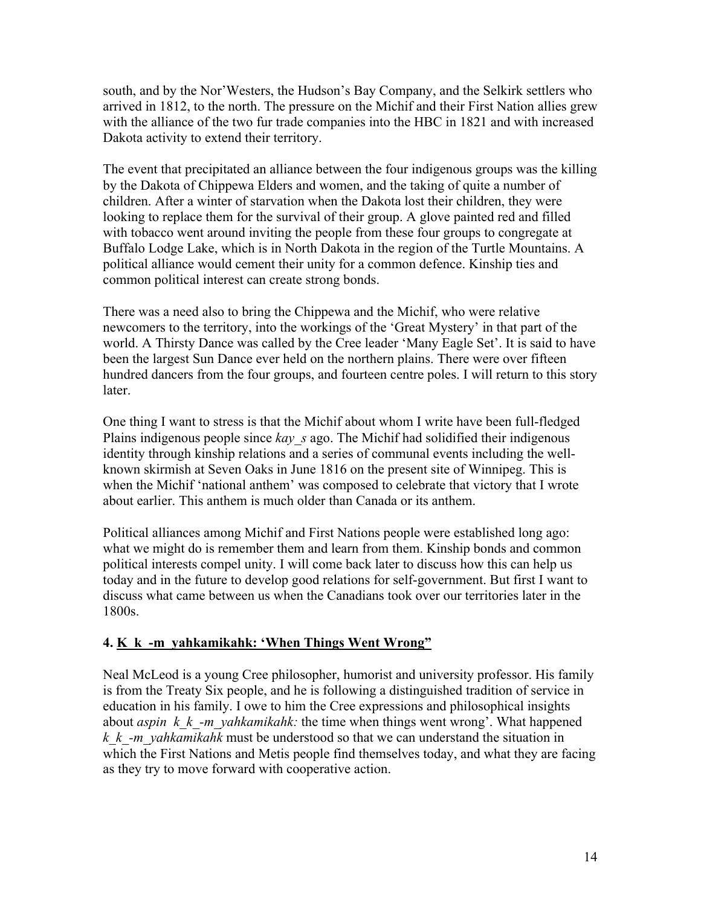south, and by the Nor'Westers, the Hudson's Bay Company, and the Selkirk settlers who arrived in 1812, to the north. The pressure on the Michif and their First Nation allies grew with the alliance of the two fur trade companies into the HBC in 1821 and with increased Dakota activity to extend their territory.

The event that precipitated an alliance between the four indigenous groups was the killing by the Dakota of Chippewa Elders and women, and the taking of quite a number of children. After a winter of starvation when the Dakota lost their children, they were looking to replace them for the survival of their group. A glove painted red and filled with tobacco went around inviting the people from these four groups to congregate at Buffalo Lodge Lake, which is in North Dakota in the region of the Turtle Mountains. A political alliance would cement their unity for a common defence. Kinship ties and common political interest can create strong bonds.

There was a need also to bring the Chippewa and the Michif, who were relative newcomers to the territory, into the workings of the 'Great Mystery' in that part of the world. A Thirsty Dance was called by the Cree leader 'Many Eagle Set'. It is said to have been the largest Sun Dance ever held on the northern plains. There were over fifteen hundred dancers from the four groups, and fourteen centre poles. I will return to this story later.

One thing I want to stress is that the Michif about whom I write have been full-fledged Plains indigenous people since *kay* s ago. The Michif had solidified their indigenous identity through kinship relations and a series of communal events including the wellknown skirmish at Seven Oaks in June 1816 on the present site of Winnipeg. This is when the Michif 'national anthem' was composed to celebrate that victory that I wrote about earlier. This anthem is much older than Canada or its anthem.

Political alliances among Michif and First Nations people were established long ago: what we might do is remember them and learn from them. Kinship bonds and common political interests compel unity. I will come back later to discuss how this can help us today and in the future to develop good relations for self-government. But first I want to discuss what came between us when the Canadians took over our territories later in the 1800s.

# **4. K\_k\_-m\_yahkamikahk: 'When Things Went Wrong"**

Neal McLeod is a young Cree philosopher, humorist and university professor. His family is from the Treaty Six people, and he is following a distinguished tradition of service in education in his family. I owe to him the Cree expressions and philosophical insights about *aspin k\_k\_-m\_yahkamikahk:* the time when things went wrong'. What happened *k\_k\_-m\_yahkamikahk* must be understood so that we can understand the situation in which the First Nations and Metis people find themselves today, and what they are facing as they try to move forward with cooperative action.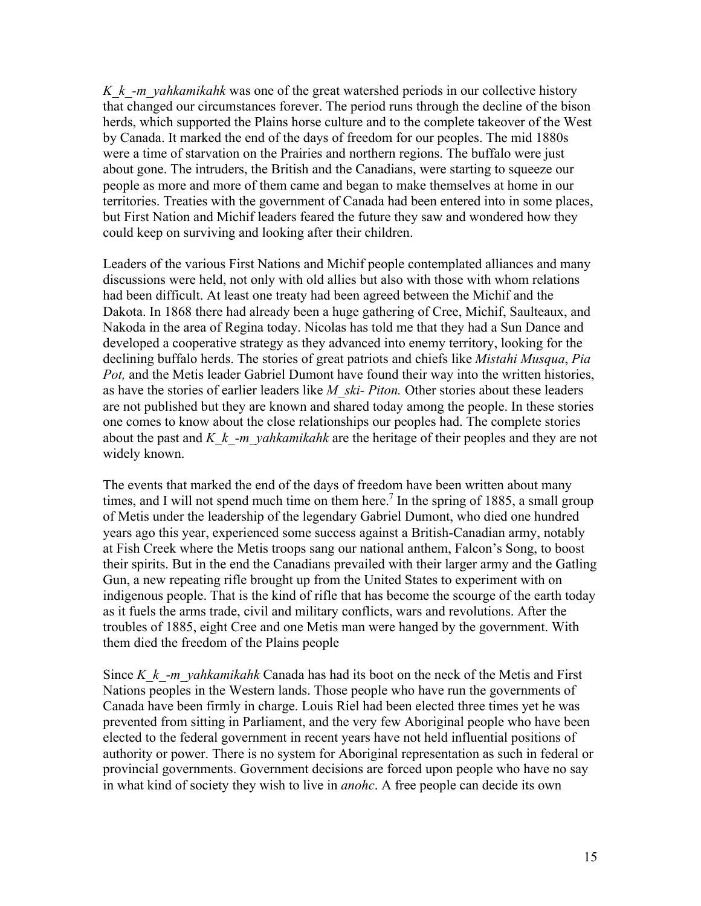*K\_k\_-m\_yahkamikahk* was one of the great watershed periods in our collective history that changed our circumstances forever. The period runs through the decline of the bison herds, which supported the Plains horse culture and to the complete takeover of the West by Canada. It marked the end of the days of freedom for our peoples. The mid 1880s were a time of starvation on the Prairies and northern regions. The buffalo were just about gone. The intruders, the British and the Canadians, were starting to squeeze our people as more and more of them came and began to make themselves at home in our territories. Treaties with the government of Canada had been entered into in some places, but First Nation and Michif leaders feared the future they saw and wondered how they could keep on surviving and looking after their children.

Leaders of the various First Nations and Michif people contemplated alliances and many discussions were held, not only with old allies but also with those with whom relations had been difficult. At least one treaty had been agreed between the Michif and the Dakota. In 1868 there had already been a huge gathering of Cree, Michif, Saulteaux, and Nakoda in the area of Regina today. Nicolas has told me that they had a Sun Dance and developed a cooperative strategy as they advanced into enemy territory, looking for the declining buffalo herds. The stories of great patriots and chiefs like *Mistahi Musqua*, *Pia* Pot, and the Metis leader Gabriel Dumont have found their way into the written histories, as have the stories of earlier leaders like *M\_ski- Piton.* Other stories about these leaders are not published but they are known and shared today among the people. In these stories one comes to know about the close relationships our peoples had. The complete stories about the past and *K\_k\_-m\_yahkamikahk* are the heritage of their peoples and they are not widely known.

The events that marked the end of the days of freedom have been written about many times, and I will not spend much time on them here.<sup>7</sup> In the spring of 1885, a small group of Metis under the leadership of the legendary Gabriel Dumont, who died one hundred years ago this year, experienced some success against a British-Canadian army, notably at Fish Creek where the Metis troops sang our national anthem, Falcon's Song, to boost their spirits. But in the end the Canadians prevailed with their larger army and the Gatling Gun, a new repeating rifle brought up from the United States to experiment with on indigenous people. That is the kind of rifle that has become the scourge of the earth today as it fuels the arms trade, civil and military conflicts, wars and revolutions. After the troubles of 1885, eight Cree and one Metis man were hanged by the government. With them died the freedom of the Plains people

Since *K\_k\_-m\_yahkamikahk* Canada has had its boot on the neck of the Metis and First Nations peoples in the Western lands. Those people who have run the governments of Canada have been firmly in charge. Louis Riel had been elected three times yet he was prevented from sitting in Parliament, and the very few Aboriginal people who have been elected to the federal government in recent years have not held influential positions of authority or power. There is no system for Aboriginal representation as such in federal or provincial governments. Government decisions are forced upon people who have no say in what kind of society they wish to live in *anohc*. A free people can decide its own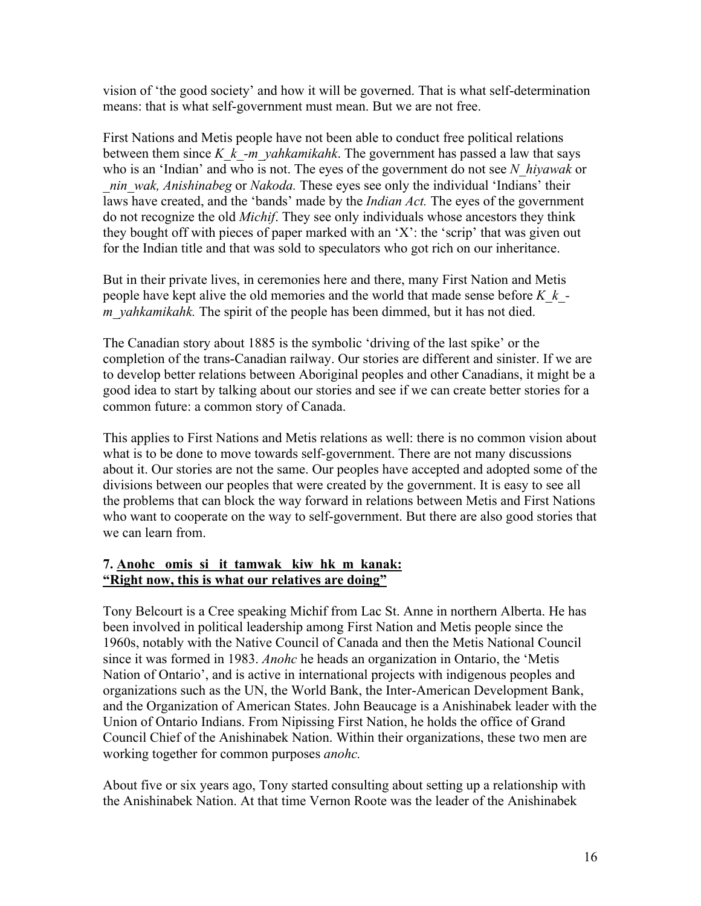vision of 'the good society' and how it will be governed. That is what self-determination means: that is what self-government must mean. But we are not free.

First Nations and Metis people have not been able to conduct free political relations between them since *K\_k\_-m\_yahkamikahk*. The government has passed a law that says who is an 'Indian' and who is not. The eyes of the government do not see *N\_hiyawak* or *\_nin\_wak, Anishinabeg* or *Nakoda.* These eyes see only the individual 'Indians' their laws have created, and the 'bands' made by the *Indian Act.* The eyes of the government do not recognize the old *Michif*. They see only individuals whose ancestors they think they bought off with pieces of paper marked with an 'X': the 'scrip' that was given out for the Indian title and that was sold to speculators who got rich on our inheritance.

But in their private lives, in ceremonies here and there, many First Nation and Metis people have kept alive the old memories and the world that made sense before *K\_k\_ m\_yahkamikahk.* The spirit of the people has been dimmed, but it has not died.

The Canadian story about 1885 is the symbolic 'driving of the last spike' or the completion of the trans-Canadian railway. Our stories are different and sinister. If we are to develop better relations between Aboriginal peoples and other Canadians, it might be a good idea to start by talking about our stories and see if we can create better stories for a common future: a common story of Canada.

This applies to First Nations and Metis relations as well: there is no common vision about what is to be done to move towards self-government. There are not many discussions about it. Our stories are not the same. Our peoples have accepted and adopted some of the divisions between our peoples that were created by the government. It is easy to see all the problems that can block the way forward in relations between Metis and First Nations who want to cooperate on the way to self-government. But there are also good stories that we can learn from.

#### **7. Anohc omis\_si it\_tamwak kiw\_hk\_m\_kanak: "Right now, this is what our relatives are doing"**

Tony Belcourt is a Cree speaking Michif from Lac St. Anne in northern Alberta. He has been involved in political leadership among First Nation and Metis people since the 1960s, notably with the Native Council of Canada and then the Metis National Council since it was formed in 1983. *Anohc* he heads an organization in Ontario, the 'Metis Nation of Ontario', and is active in international projects with indigenous peoples and organizations such as the UN, the World Bank, the Inter-American Development Bank, and the Organization of American States. John Beaucage is a Anishinabek leader with the Union of Ontario Indians. From Nipissing First Nation, he holds the office of Grand Council Chief of the Anishinabek Nation. Within their organizations, these two men are working together for common purposes *anohc.*

About five or six years ago, Tony started consulting about setting up a relationship with the Anishinabek Nation. At that time Vernon Roote was the leader of the Anishinabek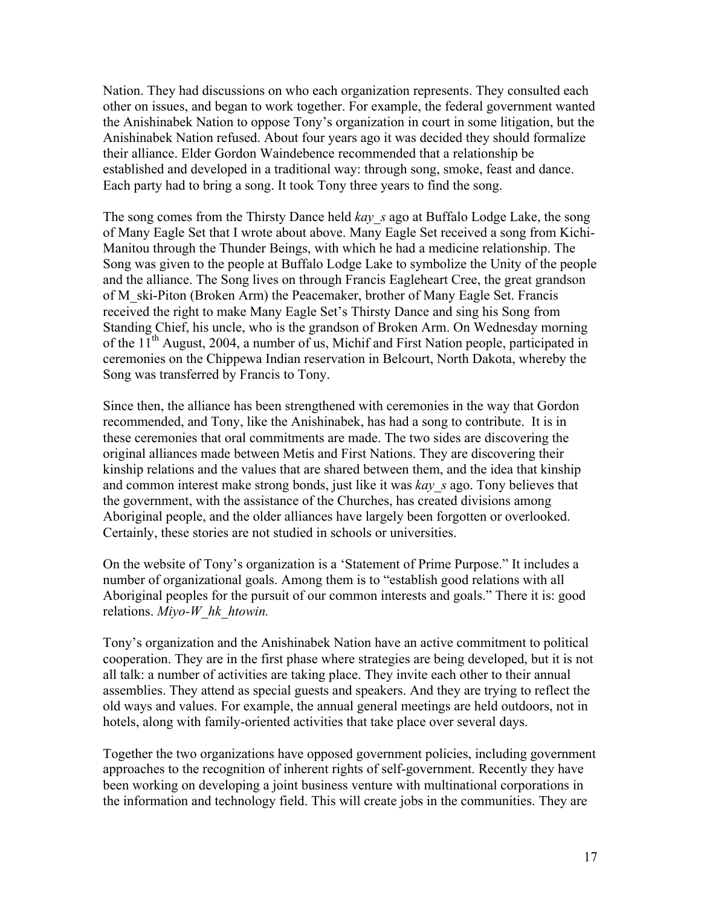Nation. They had discussions on who each organization represents. They consulted each other on issues, and began to work together. For example, the federal government wanted the Anishinabek Nation to oppose Tony's organization in court in some litigation, but the Anishinabek Nation refused. About four years ago it was decided they should formalize their alliance. Elder Gordon Waindebence recommended that a relationship be established and developed in a traditional way: through song, smoke, feast and dance. Each party had to bring a song. It took Tony three years to find the song.

The song comes from the Thirsty Dance held *kay\_s* ago at Buffalo Lodge Lake, the song of Many Eagle Set that I wrote about above. Many Eagle Set received a song from Kichi-Manitou through the Thunder Beings, with which he had a medicine relationship. The Song was given to the people at Buffalo Lodge Lake to symbolize the Unity of the people and the alliance. The Song lives on through Francis Eagleheart Cree, the great grandson of M\_ski-Piton (Broken Arm) the Peacemaker, brother of Many Eagle Set. Francis received the right to make Many Eagle Set's Thirsty Dance and sing his Song from Standing Chief, his uncle, who is the grandson of Broken Arm. On Wednesday morning of the  $11<sup>th</sup>$  August, 2004, a number of us, Michif and First Nation people, participated in ceremonies on the Chippewa Indian reservation in Belcourt, North Dakota, whereby the Song was transferred by Francis to Tony.

Since then, the alliance has been strengthened with ceremonies in the way that Gordon recommended, and Tony, like the Anishinabek, has had a song to contribute. It is in these ceremonies that oral commitments are made. The two sides are discovering the original alliances made between Metis and First Nations. They are discovering their kinship relations and the values that are shared between them, and the idea that kinship and common interest make strong bonds, just like it was *kay\_s* ago. Tony believes that the government, with the assistance of the Churches, has created divisions among Aboriginal people, and the older alliances have largely been forgotten or overlooked. Certainly, these stories are not studied in schools or universities.

On the website of Tony's organization is a 'Statement of Prime Purpose." It includes a number of organizational goals. Among them is to "establish good relations with all Aboriginal peoples for the pursuit of our common interests and goals." There it is: good relations. *Miyo-W\_hk\_htowin.*

Tony's organization and the Anishinabek Nation have an active commitment to political cooperation. They are in the first phase where strategies are being developed, but it is not all talk: a number of activities are taking place. They invite each other to their annual assemblies. They attend as special guests and speakers. And they are trying to reflect the old ways and values. For example, the annual general meetings are held outdoors, not in hotels, along with family-oriented activities that take place over several days.

Together the two organizations have opposed government policies, including government approaches to the recognition of inherent rights of self-government. Recently they have been working on developing a joint business venture with multinational corporations in the information and technology field. This will create jobs in the communities. They are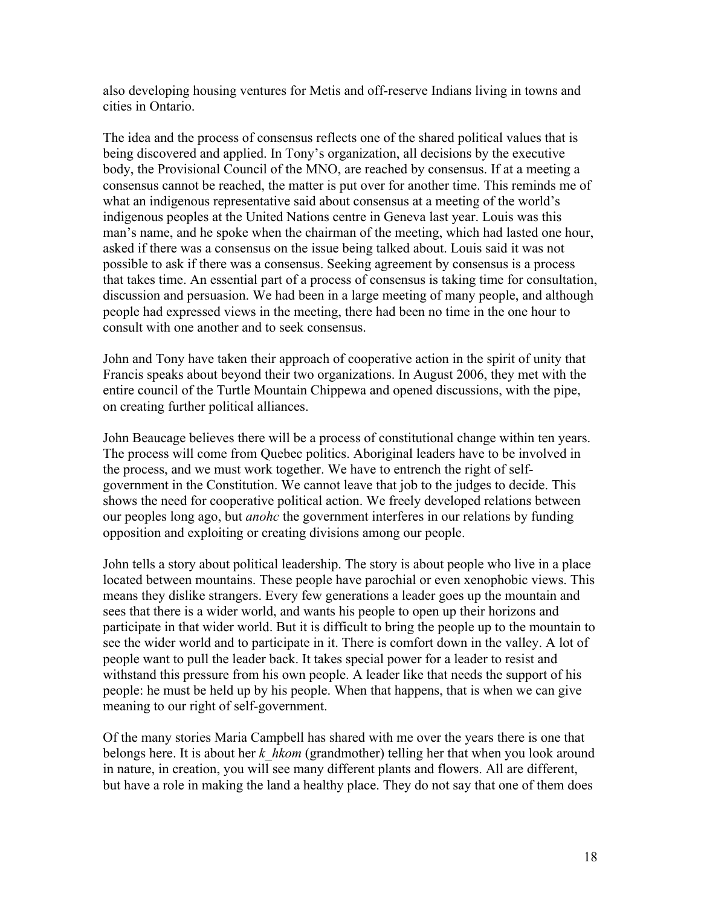also developing housing ventures for Metis and off-reserve Indians living in towns and cities in Ontario.

The idea and the process of consensus reflects one of the shared political values that is being discovered and applied. In Tony's organization, all decisions by the executive body, the Provisional Council of the MNO, are reached by consensus. If at a meeting a consensus cannot be reached, the matter is put over for another time. This reminds me of what an indigenous representative said about consensus at a meeting of the world's indigenous peoples at the United Nations centre in Geneva last year. Louis was this man's name, and he spoke when the chairman of the meeting, which had lasted one hour, asked if there was a consensus on the issue being talked about. Louis said it was not possible to ask if there was a consensus. Seeking agreement by consensus is a process that takes time. An essential part of a process of consensus is taking time for consultation, discussion and persuasion. We had been in a large meeting of many people, and although people had expressed views in the meeting, there had been no time in the one hour to consult with one another and to seek consensus.

John and Tony have taken their approach of cooperative action in the spirit of unity that Francis speaks about beyond their two organizations. In August 2006, they met with the entire council of the Turtle Mountain Chippewa and opened discussions, with the pipe, on creating further political alliances.

John Beaucage believes there will be a process of constitutional change within ten years. The process will come from Quebec politics. Aboriginal leaders have to be involved in the process, and we must work together. We have to entrench the right of selfgovernment in the Constitution. We cannot leave that job to the judges to decide. This shows the need for cooperative political action. We freely developed relations between our peoples long ago, but *anohc* the government interferes in our relations by funding opposition and exploiting or creating divisions among our people.

John tells a story about political leadership. The story is about people who live in a place located between mountains. These people have parochial or even xenophobic views. This means they dislike strangers. Every few generations a leader goes up the mountain and sees that there is a wider world, and wants his people to open up their horizons and participate in that wider world. But it is difficult to bring the people up to the mountain to see the wider world and to participate in it. There is comfort down in the valley. A lot of people want to pull the leader back. It takes special power for a leader to resist and withstand this pressure from his own people. A leader like that needs the support of his people: he must be held up by his people. When that happens, that is when we can give meaning to our right of self-government.

Of the many stories Maria Campbell has shared with me over the years there is one that belongs here. It is about her *k\_hkom* (grandmother) telling her that when you look around in nature, in creation, you will see many different plants and flowers. All are different, but have a role in making the land a healthy place. They do not say that one of them does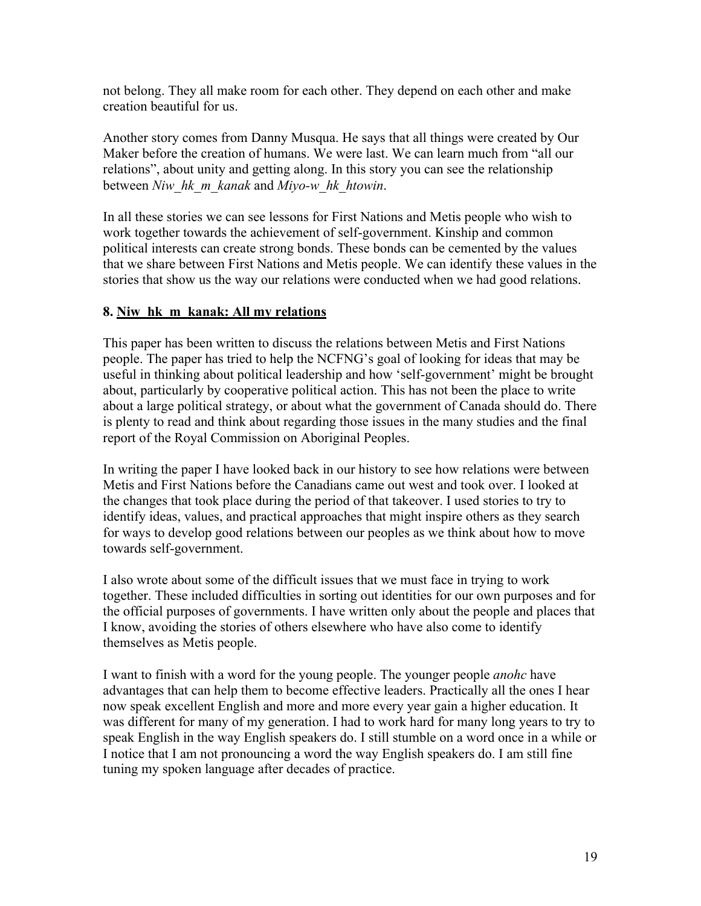not belong. They all make room for each other. They depend on each other and make creation beautiful for us.

Another story comes from Danny Musqua. He says that all things were created by Our Maker before the creation of humans. We were last. We can learn much from "all our relations", about unity and getting along. In this story you can see the relationship between *Niw\_hk\_m\_kanak* and *Miyo-w\_hk\_htowin*.

In all these stories we can see lessons for First Nations and Metis people who wish to work together towards the achievement of self-government. Kinship and common political interests can create strong bonds. These bonds can be cemented by the values that we share between First Nations and Metis people. We can identify these values in the stories that show us the way our relations were conducted when we had good relations.

# **8. Niw\_hk\_m\_kanak: All my relations**

This paper has been written to discuss the relations between Metis and First Nations people. The paper has tried to help the NCFNG's goal of looking for ideas that may be useful in thinking about political leadership and how 'self-government' might be brought about, particularly by cooperative political action. This has not been the place to write about a large political strategy, or about what the government of Canada should do. There is plenty to read and think about regarding those issues in the many studies and the final report of the Royal Commission on Aboriginal Peoples.

In writing the paper I have looked back in our history to see how relations were between Metis and First Nations before the Canadians came out west and took over. I looked at the changes that took place during the period of that takeover. I used stories to try to identify ideas, values, and practical approaches that might inspire others as they search for ways to develop good relations between our peoples as we think about how to move towards self-government.

I also wrote about some of the difficult issues that we must face in trying to work together. These included difficulties in sorting out identities for our own purposes and for the official purposes of governments. I have written only about the people and places that I know, avoiding the stories of others elsewhere who have also come to identify themselves as Metis people.

I want to finish with a word for the young people. The younger people *anohc* have advantages that can help them to become effective leaders. Practically all the ones I hear now speak excellent English and more and more every year gain a higher education. It was different for many of my generation. I had to work hard for many long years to try to speak English in the way English speakers do. I still stumble on a word once in a while or I notice that I am not pronouncing a word the way English speakers do. I am still fine tuning my spoken language after decades of practice.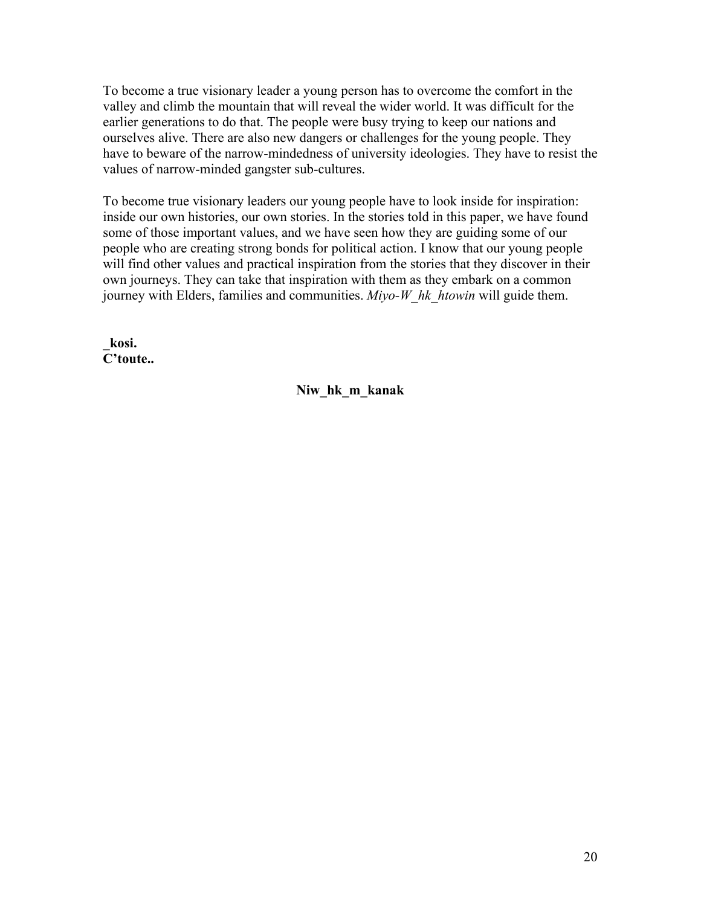To become a true visionary leader a young person has to overcome the comfort in the valley and climb the mountain that will reveal the wider world. It was difficult for the earlier generations to do that. The people were busy trying to keep our nations and ourselves alive. There are also new dangers or challenges for the young people. They have to beware of the narrow-mindedness of university ideologies. They have to resist the values of narrow-minded gangster sub-cultures.

To become true visionary leaders our young people have to look inside for inspiration: inside our own histories, our own stories. In the stories told in this paper, we have found some of those important values, and we have seen how they are guiding some of our people who are creating strong bonds for political action. I know that our young people will find other values and practical inspiration from the stories that they discover in their own journeys. They can take that inspiration with them as they embark on a common journey with Elders, families and communities. *Miyo-W\_hk\_htowin* will guide them.

**\_kosi. C'toute..** 

**Niw\_hk\_m\_kanak**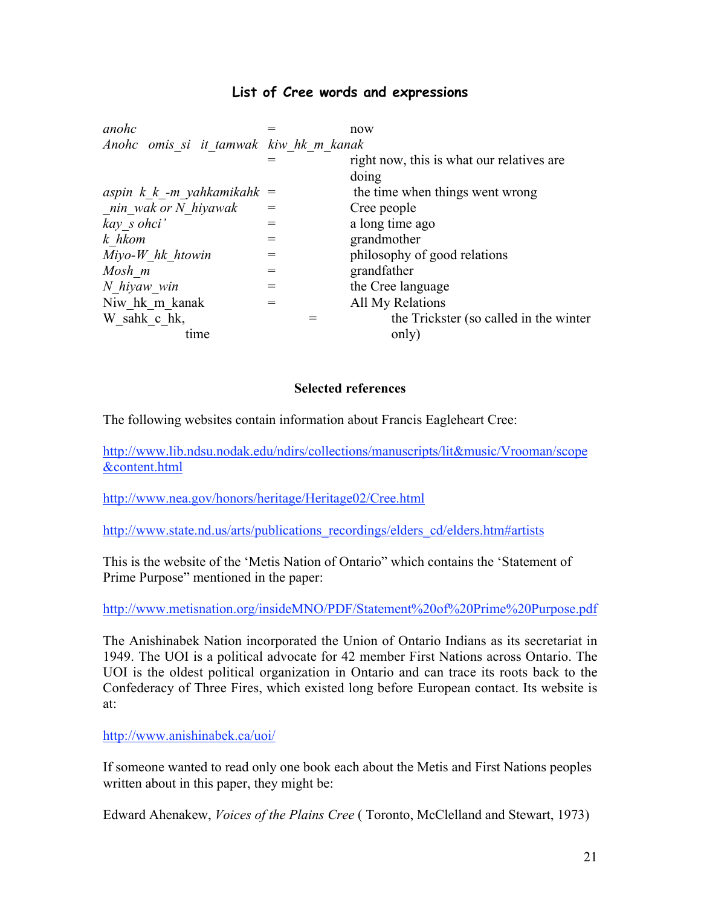# **List of Cree words and expressions**

| anohc                                  |     | now                                       |
|----------------------------------------|-----|-------------------------------------------|
| Anohc omis si it tamwak kiw hk m kanak |     |                                           |
|                                        |     | right now, this is what our relatives are |
|                                        |     | doing                                     |
| aspin $k \, k$ -m yahkamikahk =        |     | the time when things went wrong           |
| nin wak or N hiyawak                   |     | Cree people                               |
| kay s ohci'                            | $=$ | a long time ago                           |
| k hkom                                 | $=$ | grandmother                               |
| $Miyo-W$ hk htowin                     |     | philosophy of good relations              |
| Mosh m                                 |     | grandfather                               |
| N hiyaw win                            | $=$ | the Cree language                         |
| Niw hk m kanak                         |     | All My Relations                          |
| W sahk c hk,                           |     | the Trickster (so called in the winter    |
| tıme                                   |     | only)                                     |
|                                        |     |                                           |

#### **Selected references**

The following websites contain information about Francis Eagleheart Cree:

http://www.lib.ndsu.nodak.edu/ndirs/collections/manuscripts/lit&music/Vrooman/scope &content.html

http://www.nea.gov/honors/heritage/Heritage02/Cree.html

http://www.state.nd.us/arts/publications\_recordings/elders\_cd/elders.htm#artists

This is the website of the 'Metis Nation of Ontario" which contains the 'Statement of Prime Purpose" mentioned in the paper:

#### http://www.metisnation.org/insideMNO/PDF/Statement%20of%20Prime%20Purpose.pdf

The Anishinabek Nation incorporated the Union of Ontario Indians as its secretariat in 1949. The UOI is a political advocate for 42 member First Nations across Ontario. The UOI is the oldest political organization in Ontario and can trace its roots back to the Confederacy of Three Fires, which existed long before European contact. Its website is at:

http://www.anishinabek.ca/uoi/

If someone wanted to read only one book each about the Metis and First Nations peoples written about in this paper, they might be:

Edward Ahenakew, *Voices of the Plains Cree* ( Toronto, McClelland and Stewart, 1973)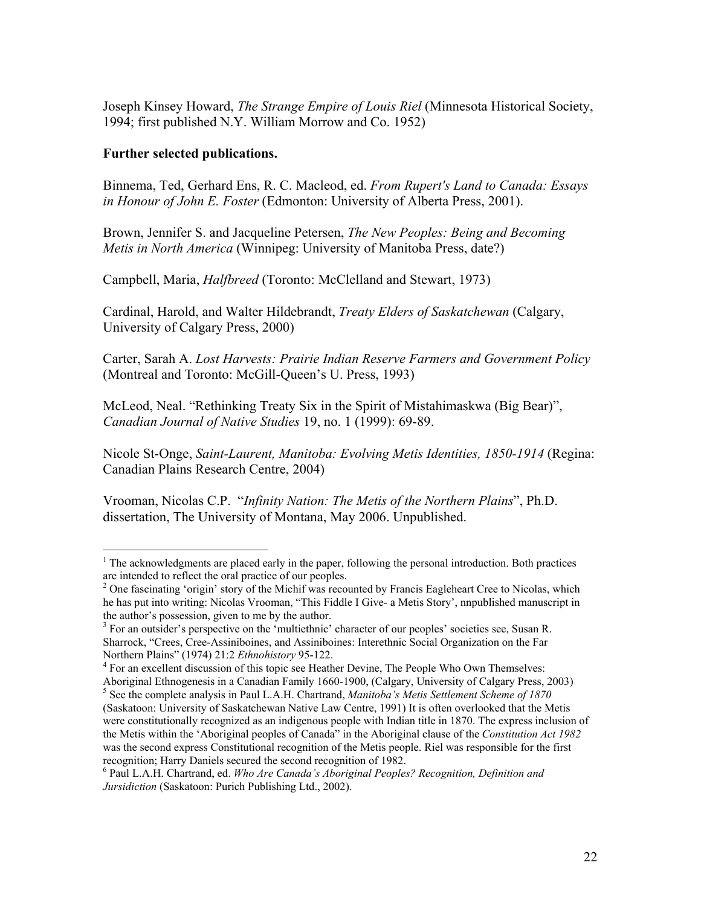Joseph Kinsey Howard, *The Strange Empire of Louis Riel* (Minnesota Historical Society, 1994; first published N.Y. William Morrow and Co. 1952)

#### **Further selected publications.**

Binnema, Ted, Gerhard Ens, R. C. Macleod, ed. *From Rupert's Land to Canada: Essays in Honour of John E. Foster* (Edmonton: University of Alberta Press, 2001).

Brown, Jennifer S. and Jacqueline Petersen, *The New Peoples: Being and Becoming Metis in North America* (Winnipeg: University of Manitoba Press, date?)

Campbell, Maria, *Halfbreed* (Toronto: McClelland and Stewart, 1973)

Cardinal, Harold, and Walter Hildebrandt, *Treaty Elders of Saskatchewan* (Calgary, University of Calgary Press, 2000)

Carter, Sarah A. *Lost Harvests: Prairie Indian Reserve Farmers and Government Policy* (Montreal and Toronto: McGill-Queen's U. Press, 1993)

McLeod, Neal. "Rethinking Treaty Six in the Spirit of Mistahimaskwa (Big Bear)", *Canadian Journal of Native Studies* 19, no. 1 (1999): 69-89.

Nicole St-Onge, *Saint-Laurent, Manitoba: Evolving Metis Identities, 1850-1914* (Regina: Canadian Plains Research Centre, 2004)

Vrooman, Nicolas C.P. "*Infinity Nation: The Metis of the Northern Plains*", Ph.D. dissertation, The University of Montana, May 2006. Unpublished.

 $\frac{1}{1}$  $1$ <sup>1</sup> The acknowledgments are placed early in the paper, following the personal introduction. Both practices are intended to reflect the oral practice of our peoples.

 $2$  One fascinating 'origin' story of the Michif was recounted by Francis Eagleheart Cree to Nicolas, which he has put into writing: Nicolas Vrooman, "This Fiddle I Give- a Metis Story', nnpublished manuscript in the author's possession, given to me by the author.

<sup>&</sup>lt;sup>3</sup> For an outsider's perspective on the 'multiethnic' character of our peoples' societies see, Susan R. Sharrock, "Crees, Cree-Assiniboines, and Assiniboines: Interethnic Social Organization on the Far Northern Plains" (1974) 21:2 *Ethnohistory* 95-122. <sup>4</sup>

<sup>&</sup>lt;sup>4</sup> For an excellent discussion of this topic see Heather Devine, The People Who Own Themselves: Aboriginal Ethnogenesis in a Canadian Family 1660-1900, (Calgary, University of Calgary Press, 2003)

<sup>5</sup> See the complete analysis in Paul L.A.H. Chartrand, *Manitoba's Metis Settlement Scheme of 1870* (Saskatoon: University of Saskatchewan Native Law Centre, 1991) It is often overlooked that the Metis were constitutionally recognized as an indigenous people with Indian title in 1870. The express inclusion of the Metis within the 'Aboriginal peoples of Canada" in the Aboriginal clause of the *Constitution Act 1982* was the second express Constitutional recognition of the Metis people. Riel was responsible for the first recognition; Harry Daniels secured the second recognition of 1982.

<sup>6</sup> Paul L.A.H. Chartrand, ed. *Who Are Canada's Aboriginal Peoples? Recognition, Definition and Jursidiction* (Saskatoon: Purich Publishing Ltd., 2002).